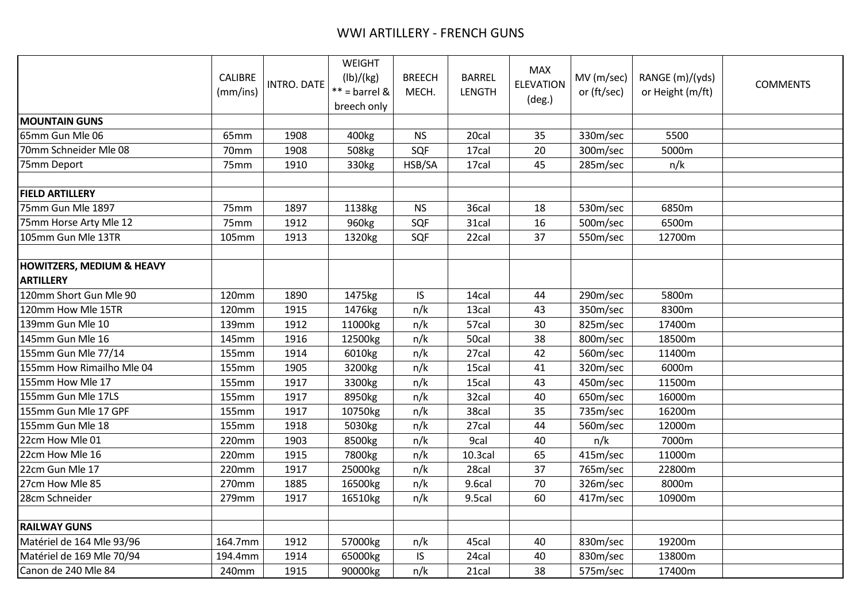## WWI ARTILLERY - FRENCH GUNS

|                                                          | CALIBRE<br>(mm/ins) | <b>INTRO. DATE</b> | <b>WEIGHT</b><br>(lb)/(kg)<br>$**$ = barrel &<br>breech only | <b>BREECH</b><br>MECH. | <b>BARREL</b><br><b>LENGTH</b> | <b>MAX</b><br><b>ELEVATION</b><br>$(\text{deg.})$ | MV (m/sec)<br>or (ft/sec) | RANGE (m)/(yds)<br>or Height (m/ft) | <b>COMMENTS</b> |
|----------------------------------------------------------|---------------------|--------------------|--------------------------------------------------------------|------------------------|--------------------------------|---------------------------------------------------|---------------------------|-------------------------------------|-----------------|
| <b>MOUNTAIN GUNS</b>                                     |                     |                    |                                                              |                        |                                |                                                   |                           |                                     |                 |
| 65mm Gun Mle 06                                          | 65mm                | 1908               | 400kg                                                        | <b>NS</b>              | 20cal                          | 35                                                | 330m/sec                  | 5500                                |                 |
| 70mm Schneider Mle 08                                    | 70mm                | 1908               | 508kg                                                        | SQF                    | 17cal                          | 20                                                | 300m/sec                  | 5000m                               |                 |
| 75mm Deport                                              | 75mm                | 1910               | 330kg                                                        | HSB/SA                 | 17cal                          | 45                                                | 285m/sec                  | n/k                                 |                 |
|                                                          |                     |                    |                                                              |                        |                                |                                                   |                           |                                     |                 |
| <b>FIELD ARTILLERY</b>                                   |                     |                    |                                                              |                        |                                |                                                   |                           |                                     |                 |
| 75mm Gun Mle 1897                                        | 75mm                | 1897               | 1138kg                                                       | <b>NS</b>              | 36cal                          | 18                                                | 530m/sec                  | 6850m                               |                 |
| 75mm Horse Arty Mle 12                                   | 75mm                | 1912               | 960kg                                                        | SQF                    | 31cal                          | 16                                                | 500m/sec                  | 6500m                               |                 |
| 105mm Gun Mle 13TR                                       | 105mm               | 1913               | 1320kg                                                       | SQF                    | 22cal                          | 37                                                | 550m/sec                  | 12700m                              |                 |
|                                                          |                     |                    |                                                              |                        |                                |                                                   |                           |                                     |                 |
| <b>HOWITZERS, MEDIUM &amp; HEAVY</b><br><b>ARTILLERY</b> |                     |                    |                                                              |                        |                                |                                                   |                           |                                     |                 |
| 120mm Short Gun Mle 90                                   | 120mm               | 1890               | 1475kg                                                       | IS                     | 14cal                          | 44                                                | 290m/sec                  | 5800m                               |                 |
| 120mm How Mle 15TR                                       | 120mm               | 1915               | 1476kg                                                       | n/k                    | 13cal                          | 43                                                | 350m/sec                  | 8300m                               |                 |
| 139mm Gun Mle 10                                         | 139mm               | 1912               | 11000kg                                                      | n/k                    | 57cal                          | 30                                                | 825m/sec                  | 17400m                              |                 |
| 145mm Gun Mle 16                                         | 145mm               | 1916               | 12500kg                                                      | n/k                    | 50cal                          | 38                                                | 800m/sec                  | 18500m                              |                 |
| 155mm Gun Mle 77/14                                      | 155mm               | 1914               | 6010kg                                                       | n/k                    | 27cal                          | 42                                                | 560m/sec                  | 11400m                              |                 |
| 155mm How Rimailho Mle 04                                | 155mm               | 1905               | 3200kg                                                       | n/k                    | 15cal                          | 41                                                | 320m/sec                  | 6000m                               |                 |
| 155mm How Mle 17                                         | 155mm               | 1917               | 3300kg                                                       | n/k                    | 15cal                          | 43                                                | 450m/sec                  | 11500m                              |                 |
| 155mm Gun Mle 17LS                                       | 155mm               | 1917               | 8950kg                                                       | n/k                    | 32cal                          | 40                                                | 650m/sec                  | 16000m                              |                 |
| 155mm Gun Mle 17 GPF                                     | 155mm               | 1917               | 10750kg                                                      | n/k                    | 38cal                          | 35                                                | 735m/sec                  | 16200m                              |                 |
| 155mm Gun Mle 18                                         | 155mm               | 1918               | 5030kg                                                       | n/k                    | 27cal                          | 44                                                | 560m/sec                  | 12000m                              |                 |
| 22cm How Mle 01                                          | 220mm               | 1903               | 8500kg                                                       | n/k                    | 9cal                           | 40                                                | n/k                       | 7000m                               |                 |
| 22cm How Mle 16                                          | 220mm               | 1915               | 7800kg                                                       | n/k                    | 10.3 <sub>cal</sub>            | 65                                                | 415m/sec                  | 11000m                              |                 |
| 22cm Gun Mle 17                                          | 220mm               | 1917               | 25000kg                                                      | n/k                    | 28cal                          | 37                                                | 765m/sec                  | 22800m                              |                 |
| 27cm How Mle 85                                          | 270mm               | 1885               | 16500kg                                                      | n/k                    | 9.6cal                         | 70                                                | 326m/sec                  | 8000m                               |                 |
| 28cm Schneider                                           | 279mm               | 1917               | 16510kg                                                      | n/k                    | 9.5cal                         | 60                                                | 417m/sec                  | 10900m                              |                 |
|                                                          |                     |                    |                                                              |                        |                                |                                                   |                           |                                     |                 |
| <b>RAILWAY GUNS</b>                                      |                     |                    |                                                              |                        |                                |                                                   |                           |                                     |                 |
| Matériel de 164 Mle 93/96                                | 164.7mm             | 1912               | 57000kg                                                      | n/k                    | 45cal                          | 40                                                | 830m/sec                  | 19200m                              |                 |
| Matériel de 169 Mle 70/94                                | 194.4mm             | 1914               | 65000kg                                                      | IS                     | 24cal                          | 40                                                | 830m/sec                  | 13800m                              |                 |
| Canon de 240 Mle 84                                      | 240mm               | 1915               | 90000kg                                                      | n/k                    | 21cal                          | 38                                                | 575m/sec                  | 17400m                              |                 |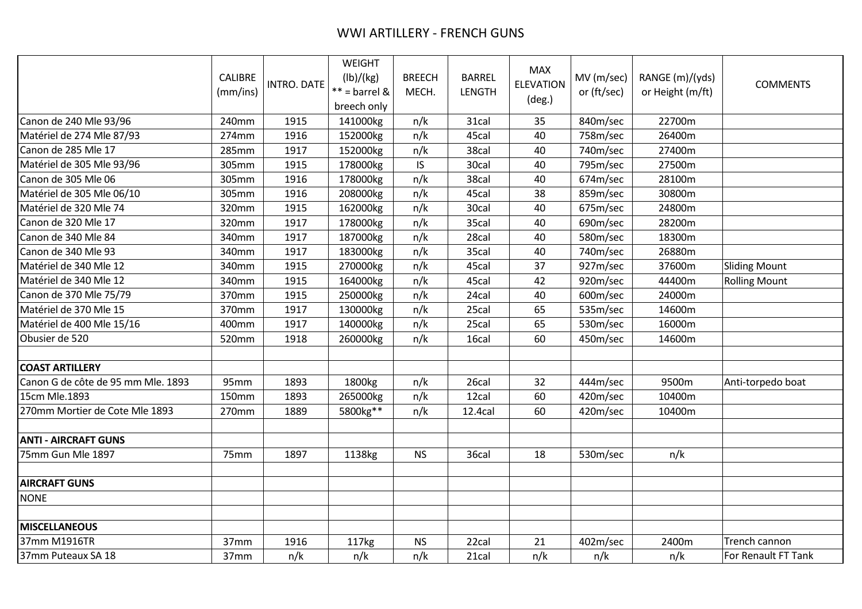## WWI ARTILLERY - FRENCH GUNS

|                                    | <b>CALIBRE</b><br>(mm/ins) | <b>INTRO. DATE</b> | <b>WEIGHT</b><br>(lb)/(kg)<br>$**$ = barrel &<br>breech only | <b>BREECH</b><br>MECH. | <b>BARREL</b><br><b>LENGTH</b> | <b>MAX</b><br><b>ELEVATION</b><br>$(\text{deg.})$ | MV (m/sec)<br>or (ft/sec) | RANGE (m)/(yds)<br>or Height (m/ft) | <b>COMMENTS</b>      |
|------------------------------------|----------------------------|--------------------|--------------------------------------------------------------|------------------------|--------------------------------|---------------------------------------------------|---------------------------|-------------------------------------|----------------------|
| Canon de 240 Mle 93/96             | 240mm                      | 1915               | 141000kg                                                     | n/k                    | 31cal                          | 35                                                | 840m/sec                  | 22700m                              |                      |
| Matériel de 274 Mle 87/93          | 274mm                      | 1916               | 152000kg                                                     | n/k                    | 45cal                          | 40                                                | 758m/sec                  | 26400m                              |                      |
| Canon de 285 Mle 17                | 285mm                      | 1917               | 152000kg                                                     | n/k                    | 38cal                          | 40                                                | 740m/sec                  | 27400m                              |                      |
| Matériel de 305 Mle 93/96          | 305mm                      | 1915               | 178000kg                                                     | IS                     | 30cal                          | 40                                                | 795m/sec                  | 27500m                              |                      |
| Canon de 305 Mle 06                | 305mm                      | 1916               | 178000kg                                                     | n/k                    | 38cal                          | 40                                                | 674m/sec                  | 28100m                              |                      |
| Matériel de 305 Mle 06/10          | 305mm                      | 1916               | 208000kg                                                     | n/k                    | 45cal                          | 38                                                | 859m/sec                  | 30800m                              |                      |
| Matériel de 320 Mle 74             | 320mm                      | 1915               | 162000kg                                                     | n/k                    | 30cal                          | 40                                                | 675m/sec                  | 24800m                              |                      |
| Canon de 320 Mle 17                | 320mm                      | 1917               | 178000kg                                                     | n/k                    | 35cal                          | 40                                                | 690m/sec                  | 28200m                              |                      |
| Canon de 340 Mle 84                | 340mm                      | 1917               | 187000kg                                                     | n/k                    | 28cal                          | 40                                                | 580m/sec                  | 18300m                              |                      |
| Canon de 340 Mle 93                | 340mm                      | 1917               | 183000kg                                                     | n/k                    | 35cal                          | 40                                                | 740m/sec                  | 26880m                              |                      |
| Matériel de 340 Mle 12             | 340mm                      | 1915               | 270000kg                                                     | n/k                    | 45cal                          | 37                                                | 927m/sec                  | 37600m                              | <b>Sliding Mount</b> |
| Matériel de 340 Mle 12             | 340mm                      | 1915               | 164000kg                                                     | n/k                    | 45cal                          | 42                                                | 920m/sec                  | 44400m                              | <b>Rolling Mount</b> |
| Canon de 370 Mle 75/79             | 370mm                      | 1915               | 250000kg                                                     | n/k                    | 24cal                          | 40                                                | 600m/sec                  | 24000m                              |                      |
| Matériel de 370 Mle 15             | 370mm                      | 1917               | 130000kg                                                     | n/k                    | 25cal                          | 65                                                | 535m/sec                  | 14600m                              |                      |
| Matériel de 400 Mle 15/16          | 400mm                      | 1917               | 140000kg                                                     | n/k                    | 25cal                          | 65                                                | 530m/sec                  | 16000m                              |                      |
| Obusier de 520                     | 520mm                      | 1918               | 260000kg                                                     | n/k                    | 16cal                          | 60                                                | 450m/sec                  | 14600m                              |                      |
|                                    |                            |                    |                                                              |                        |                                |                                                   |                           |                                     |                      |
| <b>COAST ARTILLERY</b>             |                            |                    |                                                              |                        |                                |                                                   |                           |                                     |                      |
| Canon G de côte de 95 mm Mle. 1893 | 95mm                       | 1893               | 1800kg                                                       | n/k                    | 26cal                          | 32                                                | 444m/sec                  | 9500m                               | Anti-torpedo boat    |
| 15cm Mle.1893                      | 150mm                      | 1893               | 265000kg                                                     | n/k                    | 12cal                          | 60                                                | 420m/sec                  | 10400m                              |                      |
| 270mm Mortier de Cote Mle 1893     | 270mm                      | 1889               | 5800kg**                                                     | n/k                    | 12.4cal                        | 60                                                | 420m/sec                  | 10400m                              |                      |
|                                    |                            |                    |                                                              |                        |                                |                                                   |                           |                                     |                      |
| <b>ANTI - AIRCRAFT GUNS</b>        |                            |                    |                                                              |                        |                                |                                                   |                           |                                     |                      |
| 75mm Gun Mle 1897                  | 75mm                       | 1897               | 1138kg                                                       | <b>NS</b>              | 36cal                          | 18                                                | 530m/sec                  | n/k                                 |                      |
|                                    |                            |                    |                                                              |                        |                                |                                                   |                           |                                     |                      |
| <b>AIRCRAFT GUNS</b>               |                            |                    |                                                              |                        |                                |                                                   |                           |                                     |                      |
| <b>NONE</b>                        |                            |                    |                                                              |                        |                                |                                                   |                           |                                     |                      |
|                                    |                            |                    |                                                              |                        |                                |                                                   |                           |                                     |                      |
| <b>MISCELLANEOUS</b>               |                            |                    |                                                              |                        |                                |                                                   |                           |                                     |                      |
| 37mm M1916TR                       | 37mm                       | 1916               | 117kg                                                        | <b>NS</b>              | 22cal                          | 21                                                | 402m/sec                  | 2400m                               | Trench cannon        |
| 37mm Puteaux SA 18                 | 37mm                       | n/k                | n/k                                                          | n/k                    | 21cal                          | n/k                                               | n/k                       | n/k                                 | For Renault FT Tank  |